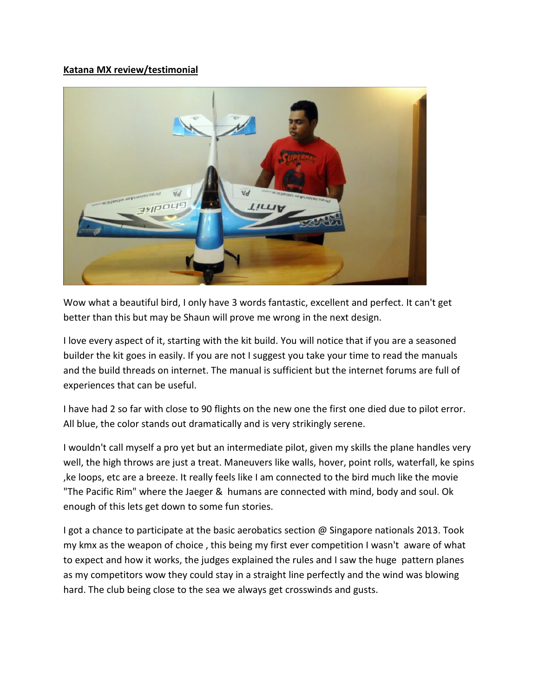## **Katana MX review/testimonial**



Wow what a beautiful bird, I only have 3 words fantastic, excellent and perfect. It can't get better than this but may be Shaun will prove me wrong in the next design.

I love every aspect of it, starting with the kit build. You will notice that if you are a seasoned builder the kit goes in easily. If you are not I suggest you take your time to read the manuals and the build threads on internet. The manual is sufficient but the internet forums are full of experiences that can be useful.

I have had 2 so far with close to 90 flights on the new one the first one died due to pilot error. All blue, the color stands out dramatically and is very strikingly serene.

I wouldn't call myself a pro yet but an intermediate pilot, given my skills the plane handles very well, the high throws are just a treat. Maneuvers like walls, hover, point rolls, waterfall, ke spins ,ke loops, etc are a breeze. It really feels like I am connected to the bird much like the movie "The Pacific Rim" where the Jaeger & humans are connected with mind, body and soul. Ok enough of this lets get down to some fun stories.

I got a chance to participate at the basic aerobatics section @ Singapore nationals 2013. Took my kmx as the weapon of choice , this being my first ever competition I wasn't aware of what to expect and how it works, the judges explained the rules and I saw the huge pattern planes as my competitors wow they could stay in a straight line perfectly and the wind was blowing hard. The club being close to the sea we always get crosswinds and gusts.